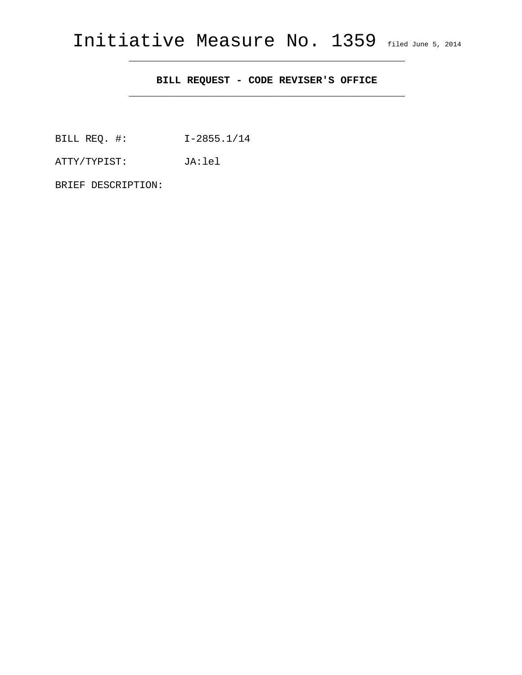\_\_\_\_\_\_\_\_\_\_\_\_\_\_\_\_\_\_\_\_\_\_\_\_\_\_\_\_\_\_\_\_\_\_\_\_\_\_\_\_\_\_\_\_\_

## **BILL REQUEST - CODE REVISER'S OFFICE**

\_\_\_\_\_\_\_\_\_\_\_\_\_\_\_\_\_\_\_\_\_\_\_\_\_\_\_\_\_\_\_\_\_\_\_\_\_\_\_\_\_\_\_\_\_

BILL REQ. #: I-2855.1/14

ATTY/TYPIST: JA:lel

BRIEF DESCRIPTION: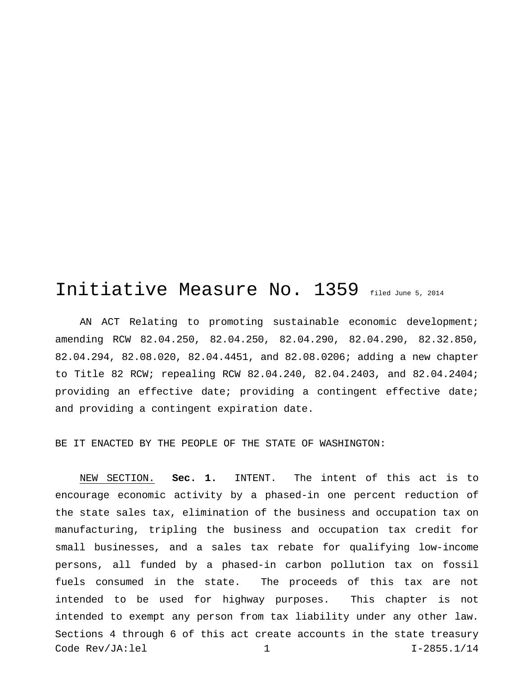## Initiative Measure No. 1359 filed June 5, 2014

AN ACT Relating to promoting sustainable economic development; amending RCW 82.04.250, 82.04.250, 82.04.290, 82.04.290, 82.32.850, 82.04.294, 82.08.020, 82.04.4451, and 82.08.0206; adding a new chapter to Title 82 RCW; repealing RCW 82.04.240, 82.04.2403, and 82.04.2404; providing an effective date; providing a contingent effective date; and providing a contingent expiration date.

BE IT ENACTED BY THE PEOPLE OF THE STATE OF WASHINGTON:

NEW SECTION. **Sec. 1.** INTENT. The intent of this act is to encourage economic activity by a phased-in one percent reduction of the state sales tax, elimination of the business and occupation tax on manufacturing, tripling the business and occupation tax credit for small businesses, and a sales tax rebate for qualifying low-income persons, all funded by a phased-in carbon pollution tax on fossil fuels consumed in the state. The proceeds of this tax are not intended to be used for highway purposes. This chapter is not intended to exempt any person from tax liability under any other law. Sections 4 through 6 of this act create accounts in the state treasury Code Rev/JA:lel 1 I-2855.1/14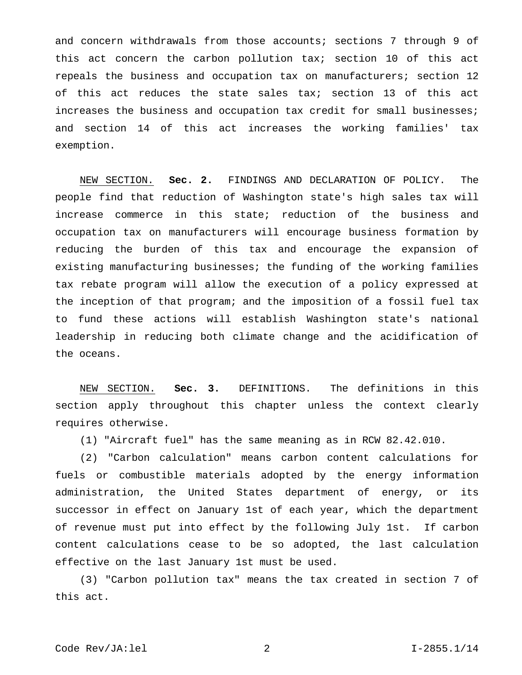and concern withdrawals from those accounts; sections 7 through 9 of this act concern the carbon pollution tax; section 10 of this act repeals the business and occupation tax on manufacturers; section 12 of this act reduces the state sales tax; section 13 of this act increases the business and occupation tax credit for small businesses; and section 14 of this act increases the working families' tax exemption.

NEW SECTION. **Sec. 2.** FINDINGS AND DECLARATION OF POLICY. The people find that reduction of Washington state's high sales tax will increase commerce in this state; reduction of the business and occupation tax on manufacturers will encourage business formation by reducing the burden of this tax and encourage the expansion of existing manufacturing businesses; the funding of the working families tax rebate program will allow the execution of a policy expressed at the inception of that program; and the imposition of a fossil fuel tax to fund these actions will establish Washington state's national leadership in reducing both climate change and the acidification of the oceans.

NEW SECTION. **Sec. 3.** DEFINITIONS. The definitions in this section apply throughout this chapter unless the context clearly requires otherwise.

(1) "Aircraft fuel" has the same meaning as in RCW 82.42.010.

(2) "Carbon calculation" means carbon content calculations for fuels or combustible materials adopted by the energy information administration, the United States department of energy, or its successor in effect on January 1st of each year, which the department of revenue must put into effect by the following July 1st. If carbon content calculations cease to be so adopted, the last calculation effective on the last January 1st must be used.

(3) "Carbon pollution tax" means the tax created in section 7 of this act.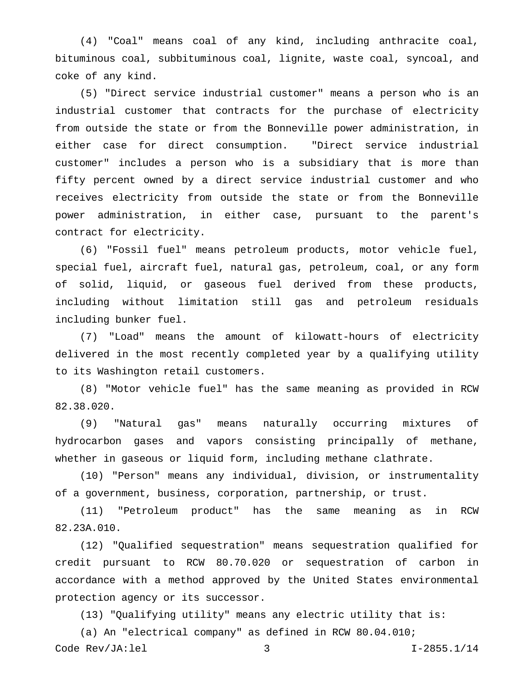(4) "Coal" means coal of any kind, including anthracite coal, bituminous coal, subbituminous coal, lignite, waste coal, syncoal, and coke of any kind.

(5) "Direct service industrial customer" means a person who is an industrial customer that contracts for the purchase of electricity from outside the state or from the Bonneville power administration, in either case for direct consumption. "Direct service industrial customer" includes a person who is a subsidiary that is more than fifty percent owned by a direct service industrial customer and who receives electricity from outside the state or from the Bonneville power administration, in either case, pursuant to the parent's contract for electricity.

(6) "Fossil fuel" means petroleum products, motor vehicle fuel, special fuel, aircraft fuel, natural gas, petroleum, coal, or any form of solid, liquid, or gaseous fuel derived from these products, including without limitation still gas and petroleum residuals including bunker fuel.

(7) "Load" means the amount of kilowatt-hours of electricity delivered in the most recently completed year by a qualifying utility to its Washington retail customers.

(8) "Motor vehicle fuel" has the same meaning as provided in RCW 82.38.020.

(9) "Natural gas" means naturally occurring mixtures of hydrocarbon gases and vapors consisting principally of methane, whether in gaseous or liquid form, including methane clathrate.

(10) "Person" means any individual, division, or instrumentality of a government, business, corporation, partnership, or trust.

(11) "Petroleum product" has the same meaning as in RCW 82.23A.010.

(12) "Qualified sequestration" means sequestration qualified for credit pursuant to RCW 80.70.020 or sequestration of carbon in accordance with a method approved by the United States environmental protection agency or its successor.

(13) "Qualifying utility" means any electric utility that is:

(a) An "electrical company" as defined in RCW 80.04.010; Code Rev/JA:lel 3 I-2855.1/14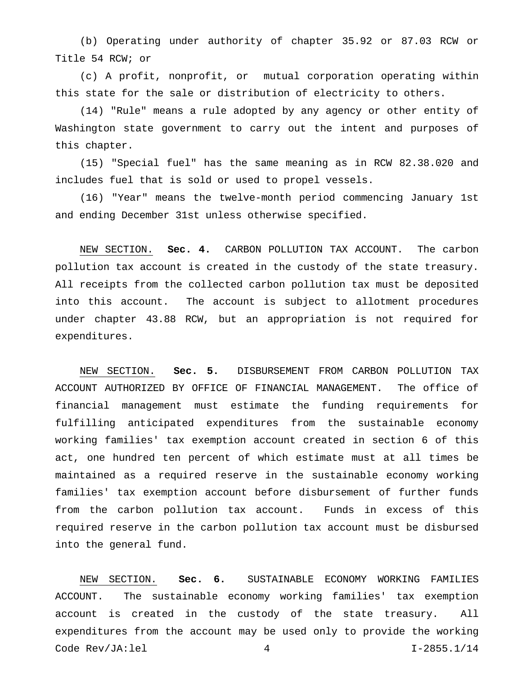(b) Operating under authority of chapter 35.92 or 87.03 RCW or Title 54 RCW; or

(c) A profit, nonprofit, or mutual corporation operating within this state for the sale or distribution of electricity to others.

(14) "Rule" means a rule adopted by any agency or other entity of Washington state government to carry out the intent and purposes of this chapter.

(15) "Special fuel" has the same meaning as in RCW 82.38.020 and includes fuel that is sold or used to propel vessels.

(16) "Year" means the twelve-month period commencing January 1st and ending December 31st unless otherwise specified.

NEW SECTION. **Sec. 4.** CARBON POLLUTION TAX ACCOUNT. The carbon pollution tax account is created in the custody of the state treasury. All receipts from the collected carbon pollution tax must be deposited into this account. The account is subject to allotment procedures under chapter 43.88 RCW, but an appropriation is not required for expenditures.

NEW SECTION. **Sec. 5.** DISBURSEMENT FROM CARBON POLLUTION TAX ACCOUNT AUTHORIZED BY OFFICE OF FINANCIAL MANAGEMENT. The office of financial management must estimate the funding requirements for fulfilling anticipated expenditures from the sustainable economy working families' tax exemption account created in section 6 of this act, one hundred ten percent of which estimate must at all times be maintained as a required reserve in the sustainable economy working families' tax exemption account before disbursement of further funds from the carbon pollution tax account. Funds in excess of this required reserve in the carbon pollution tax account must be disbursed into the general fund.

NEW SECTION. **Sec. 6.** SUSTAINABLE ECONOMY WORKING FAMILIES ACCOUNT. The sustainable economy working families' tax exemption account is created in the custody of the state treasury. All expenditures from the account may be used only to provide the working Code Rev/JA:lel 4 I-2855.1/14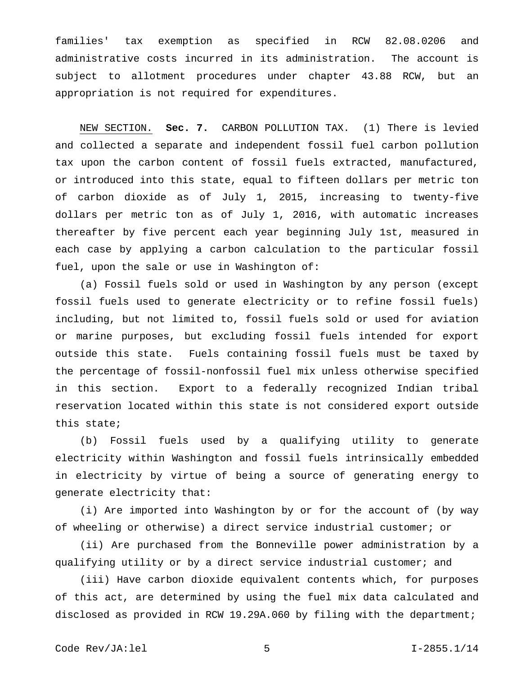families' tax exemption as specified in RCW 82.08.0206 and administrative costs incurred in its administration. The account is subject to allotment procedures under chapter 43.88 RCW, but an appropriation is not required for expenditures.

NEW SECTION. **Sec. 7.** CARBON POLLUTION TAX. (1) There is levied and collected a separate and independent fossil fuel carbon pollution tax upon the carbon content of fossil fuels extracted, manufactured, or introduced into this state, equal to fifteen dollars per metric ton of carbon dioxide as of July 1, 2015, increasing to twenty-five dollars per metric ton as of July 1, 2016, with automatic increases thereafter by five percent each year beginning July 1st, measured in each case by applying a carbon calculation to the particular fossil fuel, upon the sale or use in Washington of:

(a) Fossil fuels sold or used in Washington by any person (except fossil fuels used to generate electricity or to refine fossil fuels) including, but not limited to, fossil fuels sold or used for aviation or marine purposes, but excluding fossil fuels intended for export outside this state. Fuels containing fossil fuels must be taxed by the percentage of fossil-nonfossil fuel mix unless otherwise specified in this section. Export to a federally recognized Indian tribal reservation located within this state is not considered export outside this state;

(b) Fossil fuels used by a qualifying utility to generate electricity within Washington and fossil fuels intrinsically embedded in electricity by virtue of being a source of generating energy to generate electricity that:

(i) Are imported into Washington by or for the account of (by way of wheeling or otherwise) a direct service industrial customer; or

(ii) Are purchased from the Bonneville power administration by a qualifying utility or by a direct service industrial customer; and

(iii) Have carbon dioxide equivalent contents which, for purposes of this act, are determined by using the fuel mix data calculated and disclosed as provided in RCW 19.29A.060 by filing with the department;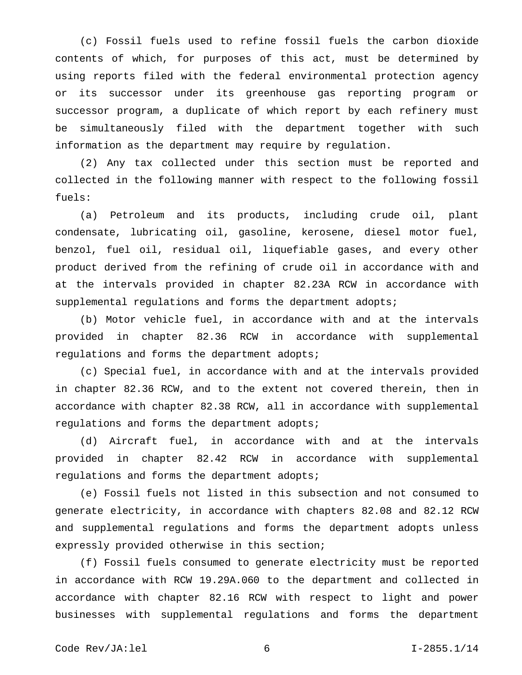(c) Fossil fuels used to refine fossil fuels the carbon dioxide contents of which, for purposes of this act, must be determined by using reports filed with the federal environmental protection agency or its successor under its greenhouse gas reporting program or successor program, a duplicate of which report by each refinery must be simultaneously filed with the department together with such information as the department may require by regulation.

(2) Any tax collected under this section must be reported and collected in the following manner with respect to the following fossil fuels:

(a) Petroleum and its products, including crude oil, plant condensate, lubricating oil, gasoline, kerosene, diesel motor fuel, benzol, fuel oil, residual oil, liquefiable gases, and every other product derived from the refining of crude oil in accordance with and at the intervals provided in chapter 82.23A RCW in accordance with supplemental regulations and forms the department adopts;

(b) Motor vehicle fuel, in accordance with and at the intervals provided in chapter 82.36 RCW in accordance with supplemental regulations and forms the department adopts;

(c) Special fuel, in accordance with and at the intervals provided in chapter 82.36 RCW, and to the extent not covered therein, then in accordance with chapter 82.38 RCW, all in accordance with supplemental regulations and forms the department adopts;

(d) Aircraft fuel, in accordance with and at the intervals provided in chapter 82.42 RCW in accordance with supplemental regulations and forms the department adopts;

(e) Fossil fuels not listed in this subsection and not consumed to generate electricity, in accordance with chapters 82.08 and 82.12 RCW and supplemental regulations and forms the department adopts unless expressly provided otherwise in this section;

(f) Fossil fuels consumed to generate electricity must be reported in accordance with RCW 19.29A.060 to the department and collected in accordance with chapter 82.16 RCW with respect to light and power businesses with supplemental regulations and forms the department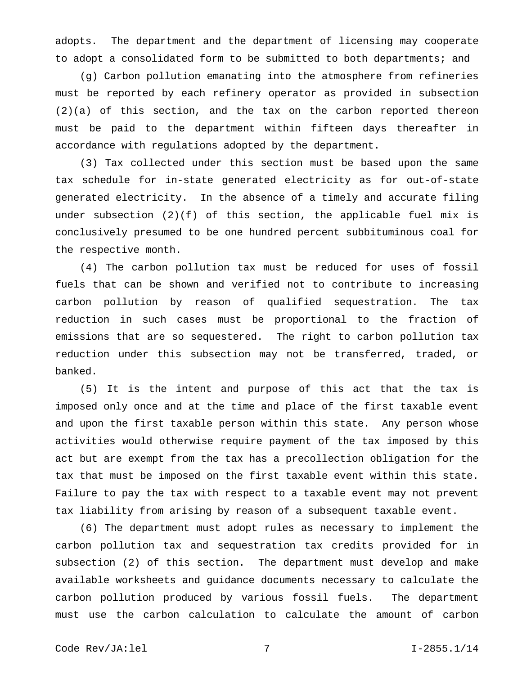adopts. The department and the department of licensing may cooperate to adopt a consolidated form to be submitted to both departments; and

(g) Carbon pollution emanating into the atmosphere from refineries must be reported by each refinery operator as provided in subsection (2)(a) of this section, and the tax on the carbon reported thereon must be paid to the department within fifteen days thereafter in accordance with regulations adopted by the department.

(3) Tax collected under this section must be based upon the same tax schedule for in-state generated electricity as for out-of-state generated electricity. In the absence of a timely and accurate filing under subsection (2)(f) of this section, the applicable fuel mix is conclusively presumed to be one hundred percent subbituminous coal for the respective month.

(4) The carbon pollution tax must be reduced for uses of fossil fuels that can be shown and verified not to contribute to increasing carbon pollution by reason of qualified sequestration. The tax reduction in such cases must be proportional to the fraction of emissions that are so sequestered. The right to carbon pollution tax reduction under this subsection may not be transferred, traded, or banked.

(5) It is the intent and purpose of this act that the tax is imposed only once and at the time and place of the first taxable event and upon the first taxable person within this state. Any person whose activities would otherwise require payment of the tax imposed by this act but are exempt from the tax has a precollection obligation for the tax that must be imposed on the first taxable event within this state. Failure to pay the tax with respect to a taxable event may not prevent tax liability from arising by reason of a subsequent taxable event.

(6) The department must adopt rules as necessary to implement the carbon pollution tax and sequestration tax credits provided for in subsection (2) of this section. The department must develop and make available worksheets and guidance documents necessary to calculate the carbon pollution produced by various fossil fuels. The department must use the carbon calculation to calculate the amount of carbon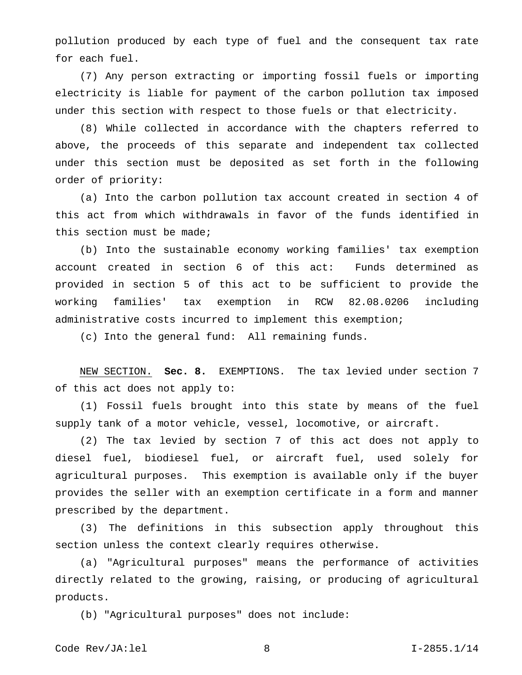pollution produced by each type of fuel and the consequent tax rate for each fuel.

(7) Any person extracting or importing fossil fuels or importing electricity is liable for payment of the carbon pollution tax imposed under this section with respect to those fuels or that electricity.

(8) While collected in accordance with the chapters referred to above, the proceeds of this separate and independent tax collected under this section must be deposited as set forth in the following order of priority:

(a) Into the carbon pollution tax account created in section 4 of this act from which withdrawals in favor of the funds identified in this section must be made;

(b) Into the sustainable economy working families' tax exemption account created in section 6 of this act: Funds determined as provided in section 5 of this act to be sufficient to provide the working families' tax exemption in RCW 82.08.0206 including administrative costs incurred to implement this exemption;

(c) Into the general fund: All remaining funds.

NEW SECTION. **Sec. 8.** EXEMPTIONS. The tax levied under section 7 of this act does not apply to:

(1) Fossil fuels brought into this state by means of the fuel supply tank of a motor vehicle, vessel, locomotive, or aircraft.

(2) The tax levied by section 7 of this act does not apply to diesel fuel, biodiesel fuel, or aircraft fuel, used solely for agricultural purposes. This exemption is available only if the buyer provides the seller with an exemption certificate in a form and manner prescribed by the department.

(3) The definitions in this subsection apply throughout this section unless the context clearly requires otherwise.

(a) "Agricultural purposes" means the performance of activities directly related to the growing, raising, or producing of agricultural products.

(b) "Agricultural purposes" does not include: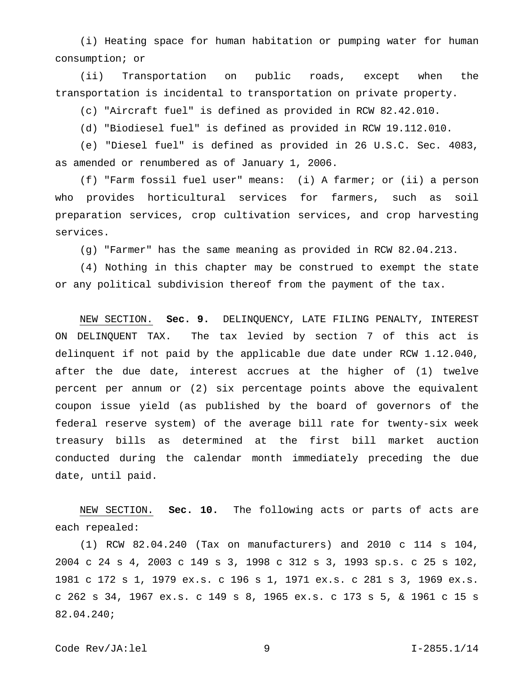(i) Heating space for human habitation or pumping water for human consumption; or

(ii) Transportation on public roads, except when the transportation is incidental to transportation on private property.

(c) "Aircraft fuel" is defined as provided in RCW 82.42.010.

(d) "Biodiesel fuel" is defined as provided in RCW 19.112.010.

(e) "Diesel fuel" is defined as provided in 26 U.S.C. Sec. 4083, as amended or renumbered as of January 1, 2006.

(f) "Farm fossil fuel user" means: (i) A farmer; or (ii) a person who provides horticultural services for farmers, such as soil preparation services, crop cultivation services, and crop harvesting services.

(g) "Farmer" has the same meaning as provided in RCW 82.04.213.

(4) Nothing in this chapter may be construed to exempt the state or any political subdivision thereof from the payment of the tax.

NEW SECTION. **Sec. 9.** DELINQUENCY, LATE FILING PENALTY, INTEREST ON DELINQUENT TAX. The tax levied by section 7 of this act is delinquent if not paid by the applicable due date under RCW 1.12.040, after the due date, interest accrues at the higher of (1) twelve percent per annum or (2) six percentage points above the equivalent coupon issue yield (as published by the board of governors of the federal reserve system) of the average bill rate for twenty-six week treasury bills as determined at the first bill market auction conducted during the calendar month immediately preceding the due date, until paid.

NEW SECTION. **Sec. 10.** The following acts or parts of acts are each repealed:

(1) RCW 82.04.240 (Tax on manufacturers) and 2010 c 114 s 104, 2004 c 24 s 4, 2003 c 149 s 3, 1998 c 312 s 3, 1993 sp.s. c 25 s 102, 1981 c 172 s 1, 1979 ex.s. c 196 s 1, 1971 ex.s. c 281 s 3, 1969 ex.s. c 262 s 34, 1967 ex.s. c 149 s 8, 1965 ex.s. c 173 s 5, & 1961 c 15 s 82.04.240;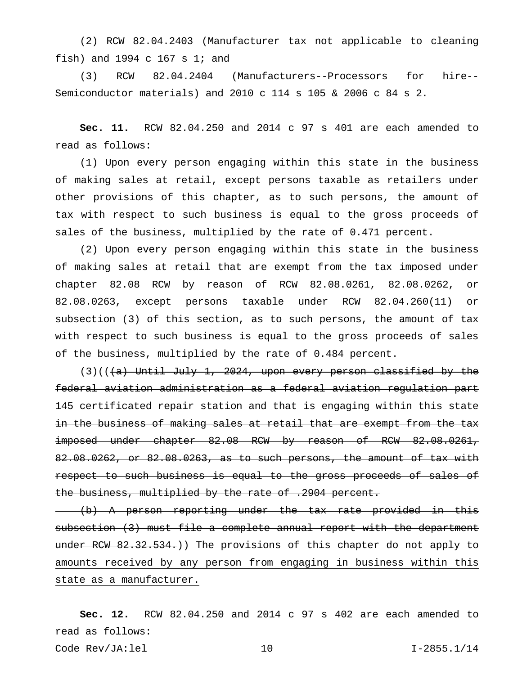(2) RCW 82.04.2403 (Manufacturer tax not applicable to cleaning fish) and 1994 c 167 s 1; and

(3) RCW 82.04.2404 (Manufacturers--Processors for hire-- Semiconductor materials) and 2010 c 114 s 105 & 2006 c 84 s 2.

**Sec. 11.** RCW 82.04.250 and 2014 c 97 s 401 are each amended to read as follows:

(1) Upon every person engaging within this state in the business of making sales at retail, except persons taxable as retailers under other provisions of this chapter, as to such persons, the amount of tax with respect to such business is equal to the gross proceeds of sales of the business, multiplied by the rate of 0.471 percent.

(2) Upon every person engaging within this state in the business of making sales at retail that are exempt from the tax imposed under chapter 82.08 RCW by reason of RCW 82.08.0261, 82.08.0262, or 82.08.0263, except persons taxable under RCW 82.04.260(11) or subsection (3) of this section, as to such persons, the amount of tax with respect to such business is equal to the gross proceeds of sales of the business, multiplied by the rate of 0.484 percent.

 $(3)((+a)$  Until July 1, 2024, upon every person classified by the federal aviation administration as a federal aviation regulation part 145 certificated repair station and that is engaging within this state in the business of making sales at retail that are exempt from the tax imposed under chapter 82.08 RCW by reason of RCW 82.08.0261, 82.08.0262, or 82.08.0263, as to such persons, the amount of tax with respect to such business is equal to the gross proceeds of sales of the business, multiplied by the rate of .2904 percent.

(b) A person reporting under the tax rate provided in this subsection (3) must file a complete annual report with the department under RCW 82.32.534.)) The provisions of this chapter do not apply to amounts received by any person from engaging in business within this state as a manufacturer.

**Sec. 12.** RCW 82.04.250 and 2014 c 97 s 402 are each amended to read as follows: Code Rev/JA:lel 10 I-2855.1/14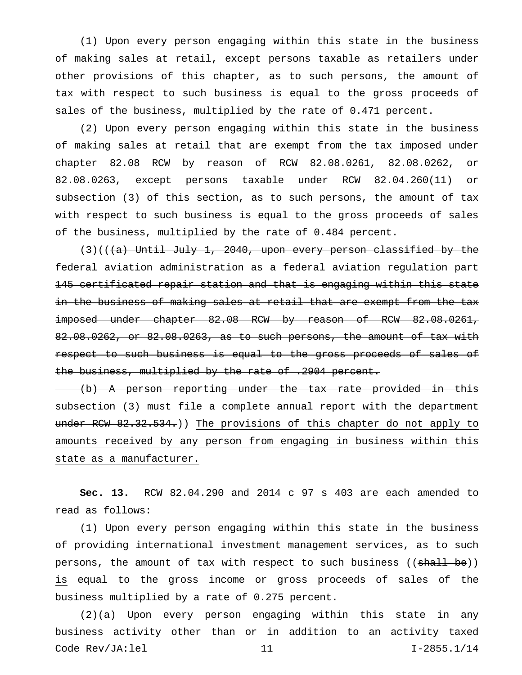(1) Upon every person engaging within this state in the business of making sales at retail, except persons taxable as retailers under other provisions of this chapter, as to such persons, the amount of tax with respect to such business is equal to the gross proceeds of sales of the business, multiplied by the rate of 0.471 percent.

(2) Upon every person engaging within this state in the business of making sales at retail that are exempt from the tax imposed under chapter 82.08 RCW by reason of RCW 82.08.0261, 82.08.0262, or 82.08.0263, except persons taxable under RCW 82.04.260(11) or subsection (3) of this section, as to such persons, the amount of tax with respect to such business is equal to the gross proceeds of sales of the business, multiplied by the rate of 0.484 percent.

 $(3)((+a)$  Until July 1, 2040, upon every person classified by the federal aviation administration as a federal aviation regulation part 145 certificated repair station and that is engaging within this state in the business of making sales at retail that are exempt from the tax imposed under chapter 82.08 RCW by reason of RCW 82.08.0261, 82.08.0262, or 82.08.0263, as to such persons, the amount of tax with respect to such business is equal to the gross proceeds of sales of the business, multiplied by the rate of .2904 percent.

(b) A person reporting under the tax rate provided in this subsection (3) must file a complete annual report with the department under RCW 82.32.534.)) The provisions of this chapter do not apply to amounts received by any person from engaging in business within this state as a manufacturer.

**Sec. 13.** RCW 82.04.290 and 2014 c 97 s 403 are each amended to read as follows:

(1) Upon every person engaging within this state in the business of providing international investment management services, as to such persons, the amount of tax with respect to such business ((shall be)) is equal to the gross income or gross proceeds of sales of the business multiplied by a rate of 0.275 percent.

(2)(a) Upon every person engaging within this state in any business activity other than or in addition to an activity taxed Code Rev/JA:lel 11 I-2855.1/14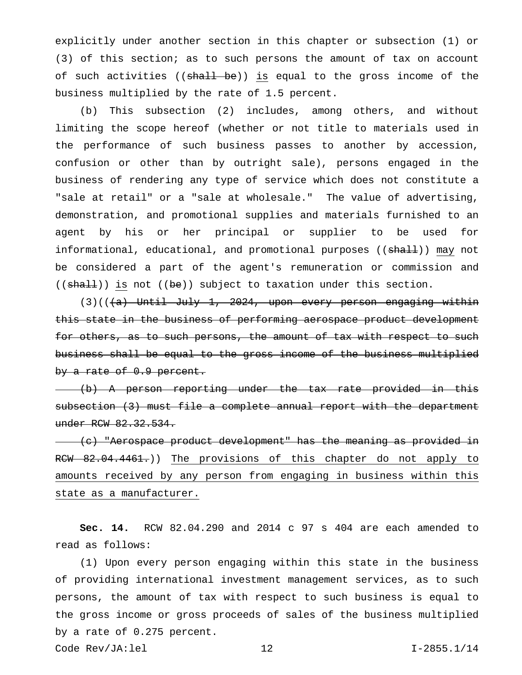explicitly under another section in this chapter or subsection (1) or (3) of this section; as to such persons the amount of tax on account of such activities ((shall be)) is equal to the gross income of the business multiplied by the rate of 1.5 percent.

(b) This subsection (2) includes, among others, and without limiting the scope hereof (whether or not title to materials used in the performance of such business passes to another by accession, confusion or other than by outright sale), persons engaged in the business of rendering any type of service which does not constitute a "sale at retail" or a "sale at wholesale." The value of advertising, demonstration, and promotional supplies and materials furnished to an agent by his or her principal or supplier to be used for informational, educational, and promotional purposes ((shall)) may not be considered a part of the agent's remuneration or commission and  $((shall))$  is not  $((be))$  subject to taxation under this section.

 $(3)((\overline{a})$  Until July 1, 2024, upon every person engaging within this state in the business of performing aerospace product development for others, as to such persons, the amount of tax with respect to such business shall be equal to the gross income of the business multiplied by a rate of 0.9 percent.

(b) A person reporting under the tax rate provided in this subsection (3) must file a complete annual report with the department under RCW 82.32.534.

(c) "Aerospace product development" has the meaning as provided in RCW 82.04.4461.)) The provisions of this chapter do not apply to amounts received by any person from engaging in business within this state as a manufacturer.

**Sec. 14.** RCW 82.04.290 and 2014 c 97 s 404 are each amended to read as follows:

(1) Upon every person engaging within this state in the business of providing international investment management services, as to such persons, the amount of tax with respect to such business is equal to the gross income or gross proceeds of sales of the business multiplied by a rate of 0.275 percent.

Code Rev/JA:lel 12 I-2855.1/14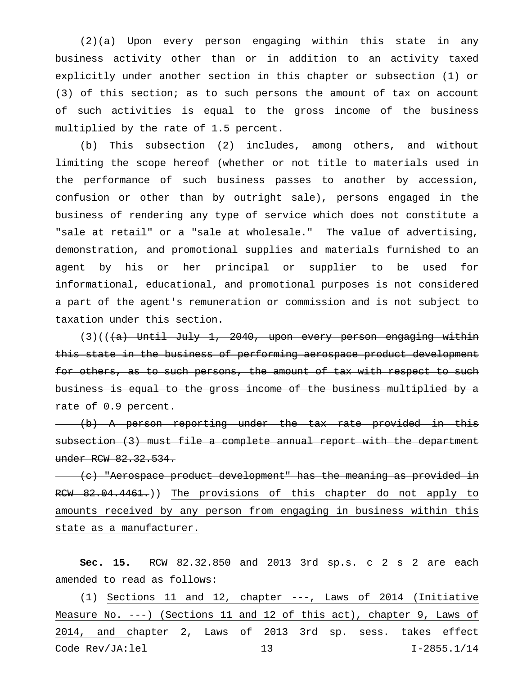(2)(a) Upon every person engaging within this state in any business activity other than or in addition to an activity taxed explicitly under another section in this chapter or subsection (1) or (3) of this section; as to such persons the amount of tax on account of such activities is equal to the gross income of the business multiplied by the rate of 1.5 percent.

(b) This subsection (2) includes, among others, and without limiting the scope hereof (whether or not title to materials used in the performance of such business passes to another by accession, confusion or other than by outright sale), persons engaged in the business of rendering any type of service which does not constitute a "sale at retail" or a "sale at wholesale." The value of advertising, demonstration, and promotional supplies and materials furnished to an agent by his or her principal or supplier to be used for informational, educational, and promotional purposes is not considered a part of the agent's remuneration or commission and is not subject to taxation under this section.

 $(3)((+a)$  Until July 1, 2040, upon every person engaging within this state in the business of performing aerospace product development for others, as to such persons, the amount of tax with respect to such business is equal to the gross income of the business multiplied by a rate of 0.9 percent.

(b) A person reporting under the tax rate provided in this subsection (3) must file a complete annual report with the department under RCW 82.32.534.

(c) "Aerospace product development" has the meaning as provided in RCW 82.04.4461.)) The provisions of this chapter do not apply to amounts received by any person from engaging in business within this state as a manufacturer.

**Sec. 15.** RCW 82.32.850 and 2013 3rd sp.s. c 2 s 2 are each amended to read as follows:

(1) Sections 11 and 12, chapter ---, Laws of 2014 (Initiative Measure No. ---) (Sections 11 and 12 of this act), chapter 9, Laws of 2014, and chapter 2, Laws of 2013 3rd sp. sess. takes effect Code Rev/JA:lel 13 I-2855.1/14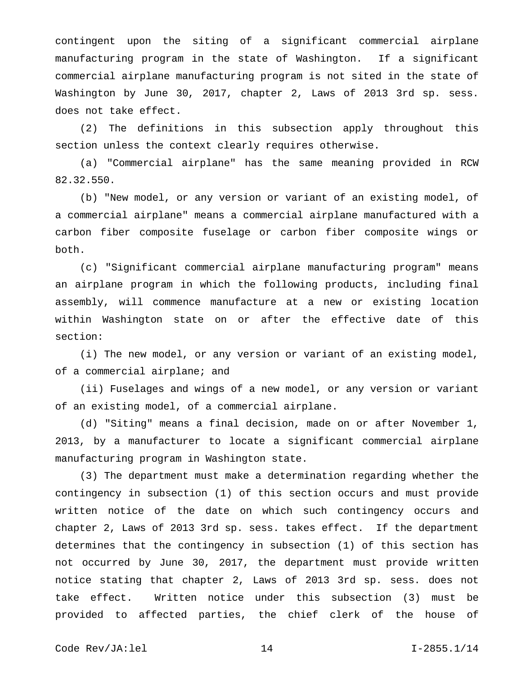contingent upon the siting of a significant commercial airplane manufacturing program in the state of Washington. If a significant commercial airplane manufacturing program is not sited in the state of Washington by June 30, 2017, chapter 2, Laws of 2013 3rd sp. sess. does not take effect.

(2) The definitions in this subsection apply throughout this section unless the context clearly requires otherwise.

(a) "Commercial airplane" has the same meaning provided in RCW 82.32.550.

(b) "New model, or any version or variant of an existing model, of a commercial airplane" means a commercial airplane manufactured with a carbon fiber composite fuselage or carbon fiber composite wings or both.

(c) "Significant commercial airplane manufacturing program" means an airplane program in which the following products, including final assembly, will commence manufacture at a new or existing location within Washington state on or after the effective date of this section:

(i) The new model, or any version or variant of an existing model, of a commercial airplane; and

(ii) Fuselages and wings of a new model, or any version or variant of an existing model, of a commercial airplane.

(d) "Siting" means a final decision, made on or after November 1, 2013, by a manufacturer to locate a significant commercial airplane manufacturing program in Washington state.

(3) The department must make a determination regarding whether the contingency in subsection (1) of this section occurs and must provide written notice of the date on which such contingency occurs and chapter 2, Laws of 2013 3rd sp. sess. takes effect. If the department determines that the contingency in subsection (1) of this section has not occurred by June 30, 2017, the department must provide written notice stating that chapter 2, Laws of 2013 3rd sp. sess. does not take effect. Written notice under this subsection (3) must be provided to affected parties, the chief clerk of the house of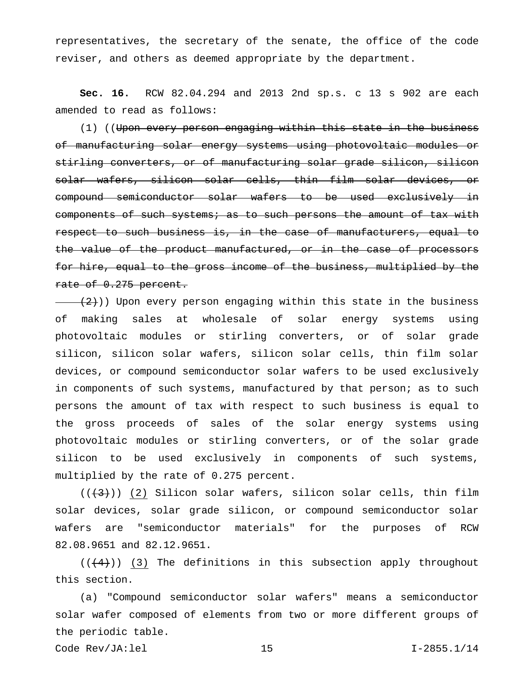representatives, the secretary of the senate, the office of the code reviser, and others as deemed appropriate by the department.

**Sec. 16.** RCW 82.04.294 and 2013 2nd sp.s. c 13 s 902 are each amended to read as follows:

(1) ((Upon every person engaging within this state in the business of manufacturing solar energy systems using photovoltaic modules or stirling converters, or of manufacturing solar grade silicon, silicon solar wafers, silicon solar cells, thin film solar devices, or compound semiconductor solar wafers to be used exclusively in components of such systems; as to such persons the amount of tax with respect to such business is, in the case of manufacturers, equal to the value of the product manufactured, or in the case of processors for hire, equal to the gross income of the business, multiplied by the rate of 0.275 percent.

 $(2)$ )) Upon every person engaging within this state in the business of making sales at wholesale of solar energy systems using photovoltaic modules or stirling converters, or of solar grade silicon, silicon solar wafers, silicon solar cells, thin film solar devices, or compound semiconductor solar wafers to be used exclusively in components of such systems, manufactured by that person; as to such persons the amount of tax with respect to such business is equal to the gross proceeds of sales of the solar energy systems using photovoltaic modules or stirling converters, or of the solar grade silicon to be used exclusively in components of such systems, multiplied by the rate of 0.275 percent.

 $((+3))$  (2) Silicon solar wafers, silicon solar cells, thin film solar devices, solar grade silicon, or compound semiconductor solar wafers are "semiconductor materials" for the purposes of RCW 82.08.9651 and 82.12.9651.

 $((+4))$  (3) The definitions in this subsection apply throughout this section.

(a) "Compound semiconductor solar wafers" means a semiconductor solar wafer composed of elements from two or more different groups of the periodic table.

Code Rev/JA:lel 15 I-2855.1/14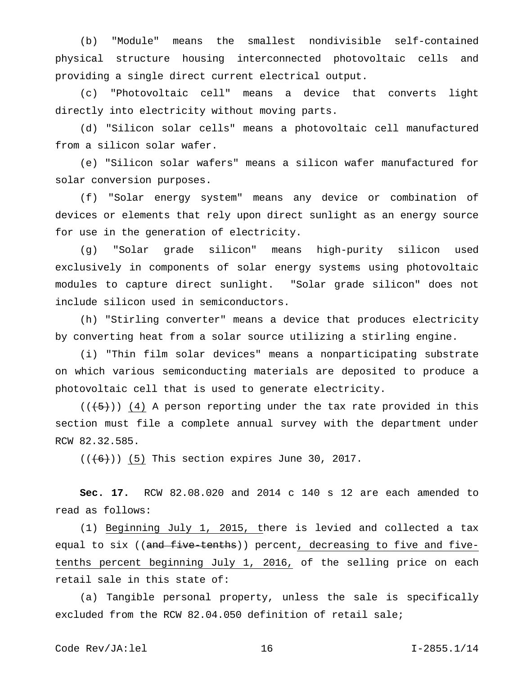(b) "Module" means the smallest nondivisible self-contained physical structure housing interconnected photovoltaic cells and providing a single direct current electrical output.

(c) "Photovoltaic cell" means a device that converts light directly into electricity without moving parts.

(d) "Silicon solar cells" means a photovoltaic cell manufactured from a silicon solar wafer.

(e) "Silicon solar wafers" means a silicon wafer manufactured for solar conversion purposes.

(f) "Solar energy system" means any device or combination of devices or elements that rely upon direct sunlight as an energy source for use in the generation of electricity.

(g) "Solar grade silicon" means high-purity silicon used exclusively in components of solar energy systems using photovoltaic modules to capture direct sunlight. "Solar grade silicon" does not include silicon used in semiconductors.

(h) "Stirling converter" means a device that produces electricity by converting heat from a solar source utilizing a stirling engine.

(i) "Thin film solar devices" means a nonparticipating substrate on which various semiconducting materials are deposited to produce a photovoltaic cell that is used to generate electricity.

 $((+5))$  (4) A person reporting under the tax rate provided in this section must file a complete annual survey with the department under RCW 82.32.585.

 $((\left\lbrace 6 \right\rbrace))$  (5) This section expires June 30, 2017.

**Sec. 17.** RCW 82.08.020 and 2014 c 140 s 12 are each amended to read as follows:

(1) Beginning July 1, 2015, there is levied and collected a tax equal to six ((and five tenths)) percent, decreasing to five and fivetenths percent beginning July 1, 2016, of the selling price on each retail sale in this state of:

(a) Tangible personal property, unless the sale is specifically excluded from the RCW 82.04.050 definition of retail sale;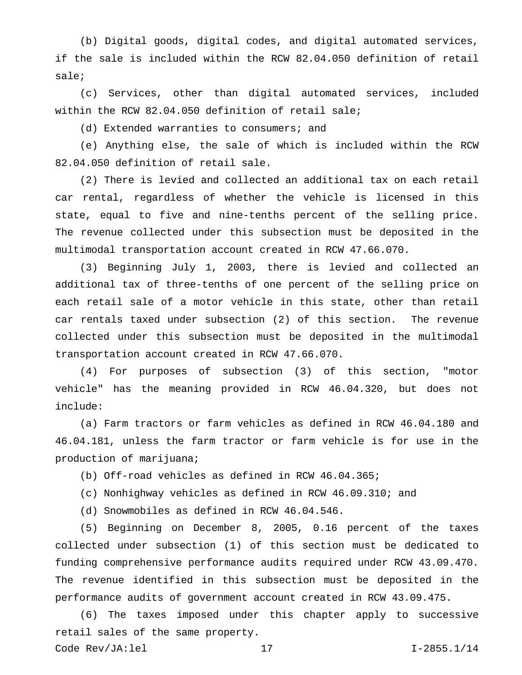(b) Digital goods, digital codes, and digital automated services, if the sale is included within the RCW 82.04.050 definition of retail sale;

(c) Services, other than digital automated services, included within the RCW 82.04.050 definition of retail sale;

(d) Extended warranties to consumers; and

(e) Anything else, the sale of which is included within the RCW 82.04.050 definition of retail sale.

(2) There is levied and collected an additional tax on each retail car rental, regardless of whether the vehicle is licensed in this state, equal to five and nine-tenths percent of the selling price. The revenue collected under this subsection must be deposited in the multimodal transportation account created in RCW 47.66.070.

(3) Beginning July 1, 2003, there is levied and collected an additional tax of three-tenths of one percent of the selling price on each retail sale of a motor vehicle in this state, other than retail car rentals taxed under subsection (2) of this section. The revenue collected under this subsection must be deposited in the multimodal transportation account created in RCW 47.66.070.

(4) For purposes of subsection (3) of this section, "motor vehicle" has the meaning provided in RCW 46.04.320, but does not include:

(a) Farm tractors or farm vehicles as defined in RCW 46.04.180 and 46.04.181, unless the farm tractor or farm vehicle is for use in the production of marijuana;

(b) Off-road vehicles as defined in RCW 46.04.365;

(c) Nonhighway vehicles as defined in RCW 46.09.310; and

(d) Snowmobiles as defined in RCW 46.04.546.

(5) Beginning on December 8, 2005, 0.16 percent of the taxes collected under subsection (1) of this section must be dedicated to funding comprehensive performance audits required under RCW 43.09.470. The revenue identified in this subsection must be deposited in the performance audits of government account created in RCW 43.09.475.

(6) The taxes imposed under this chapter apply to successive retail sales of the same property.

Code Rev/JA:lel 17 I-2855.1/14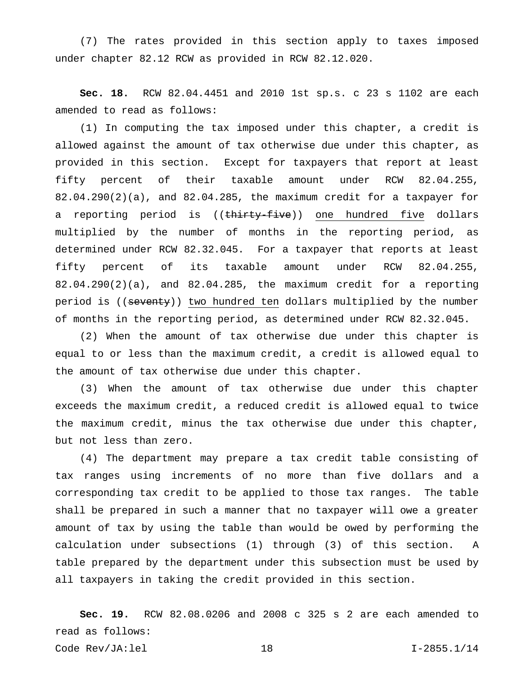(7) The rates provided in this section apply to taxes imposed under chapter 82.12 RCW as provided in RCW 82.12.020.

**Sec. 18.** RCW 82.04.4451 and 2010 1st sp.s. c 23 s 1102 are each amended to read as follows:

(1) In computing the tax imposed under this chapter, a credit is allowed against the amount of tax otherwise due under this chapter, as provided in this section. Except for taxpayers that report at least fifty percent of their taxable amount under RCW 82.04.255, 82.04.290(2)(a), and 82.04.285, the maximum credit for a taxpayer for a reporting period is ((thirty-five)) one hundred five dollars multiplied by the number of months in the reporting period, as determined under RCW 82.32.045. For a taxpayer that reports at least fifty percent of its taxable amount under RCW 82.04.255, 82.04.290(2)(a), and 82.04.285, the maximum credit for a reporting period is ((seventy)) two hundred ten dollars multiplied by the number of months in the reporting period, as determined under RCW 82.32.045.

(2) When the amount of tax otherwise due under this chapter is equal to or less than the maximum credit, a credit is allowed equal to the amount of tax otherwise due under this chapter.

(3) When the amount of tax otherwise due under this chapter exceeds the maximum credit, a reduced credit is allowed equal to twice the maximum credit, minus the tax otherwise due under this chapter, but not less than zero.

(4) The department may prepare a tax credit table consisting of tax ranges using increments of no more than five dollars and a corresponding tax credit to be applied to those tax ranges. The table shall be prepared in such a manner that no taxpayer will owe a greater amount of tax by using the table than would be owed by performing the calculation under subsections (1) through (3) of this section. A table prepared by the department under this subsection must be used by all taxpayers in taking the credit provided in this section.

**Sec. 19.** RCW 82.08.0206 and 2008 c 325 s 2 are each amended to read as follows: Code Rev/JA:lel 18 I-2855.1/14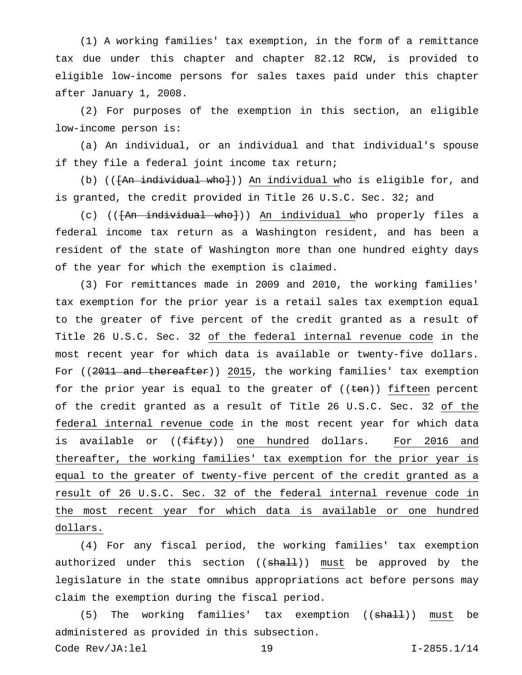(1) A working families' tax exemption, in the form of a remittance tax due under this chapter and chapter 82.12 RCW, is provided to eligible low-income persons for sales taxes paid under this chapter after January 1, 2008.

(2) For purposes of the exemption in this section, an eligible low-income person is:

(a) An individual, or an individual and that individual's spouse if they file a federal joint income tax return;

(b) (( $\overline{An}$  individual who})) An individual who is eligible for, and is granted, the credit provided in Title 26 U.S.C. Sec. 32; and

(c) (( $\overline{An - individual - who}}$ )) An individual who properly files a federal income tax return as a Washington resident, and has been a resident of the state of Washington more than one hundred eighty days of the year for which the exemption is claimed.

(3) For remittances made in 2009 and 2010, the working families' tax exemption for the prior year is a retail sales tax exemption equal to the greater of five percent of the credit granted as a result of Title 26 U.S.C. Sec. 32 of the federal internal revenue code in the most recent year for which data is available or twenty-five dollars. For ((2011 and thereafter)) 2015, the working families' tax exemption for the prior year is equal to the greater of  $((\text{ten}))$  fifteen percent of the credit granted as a result of Title 26 U.S.C. Sec. 32 of the federal internal revenue code in the most recent year for which data is available or ((<del>fifty</del>)) one hundred dollars. For 2016 and thereafter, the working families' tax exemption for the prior year is equal to the greater of twenty-five percent of the credit granted as a result of 26 U.S.C. Sec. 32 of the federal internal revenue code in the most recent year for which data is available or one hundred dollars.

(4) For any fiscal period, the working families' tax exemption authorized under this section ((shall)) must be approved by the legislature in the state omnibus appropriations act before persons may claim the exemption during the fiscal period.

(5) The working families' tax exemption ((shall)) must be administered as provided in this subsection.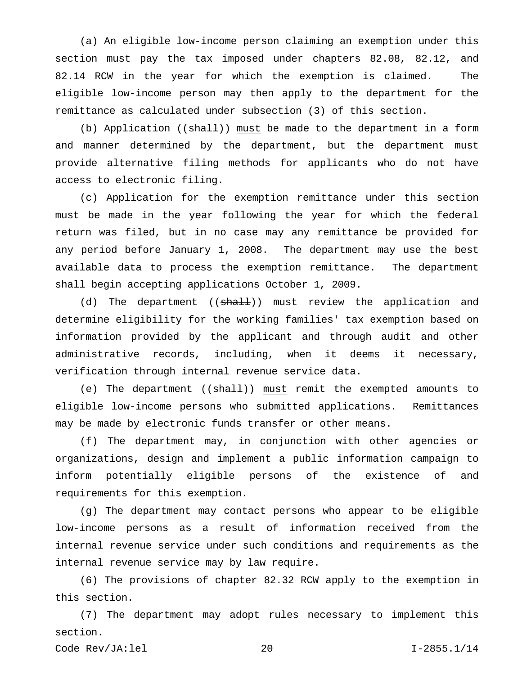(a) An eligible low-income person claiming an exemption under this section must pay the tax imposed under chapters 82.08, 82.12, and 82.14 RCW in the year for which the exemption is claimed. The eligible low-income person may then apply to the department for the remittance as calculated under subsection (3) of this section.

(b) Application ( $(\text{sha11})$ ) must be made to the department in a form and manner determined by the department, but the department must provide alternative filing methods for applicants who do not have access to electronic filing.

(c) Application for the exemption remittance under this section must be made in the year following the year for which the federal return was filed, but in no case may any remittance be provided for any period before January 1, 2008. The department may use the best available data to process the exemption remittance. The department shall begin accepting applications October 1, 2009.

(d) The department ((<del>shall</del>)) must review the application and determine eligibility for the working families' tax exemption based on information provided by the applicant and through audit and other administrative records, including, when it deems it necessary, verification through internal revenue service data.

(e) The department ((shall)) must remit the exempted amounts to eligible low-income persons who submitted applications. Remittances may be made by electronic funds transfer or other means.

(f) The department may, in conjunction with other agencies or organizations, design and implement a public information campaign to inform potentially eligible persons of the existence of and requirements for this exemption.

(g) The department may contact persons who appear to be eligible low-income persons as a result of information received from the internal revenue service under such conditions and requirements as the internal revenue service may by law require.

(6) The provisions of chapter 82.32 RCW apply to the exemption in this section.

(7) The department may adopt rules necessary to implement this section.

Code Rev/JA:lel 20 I-2855.1/14